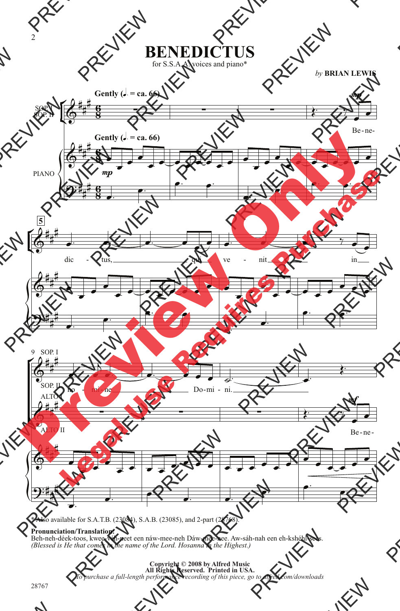## **BENEDICTUS**

for S.S.A.A. voices and piano\*

*by* **BRIAN LEWIS**



\* Also available for S.A.T.B. (23084), S.A.B. (23085), and 2-part (28768).

## **Pronunciation/Translation:**

Beh-neh-déek-toos, kwee-véh-neet een náw-mee-neh Dáw-mee-nee. Aw-sáh-nah een eh-kshéhl-sees. *(Blessed is He that comes in the name of the Lord. Hosanna in the Highest.)*

## **Convright © 2008 by Alfred Music All Rights Reserved. Printed in USA.** *To purchase a full-length performance recording of this piece, go to alfred.com/downloads* **Copyright © 2008 by Alfred Music All Rights Reserved. Printed in USA.** *To purchase a full-length performance recording of this piece, go to alfred.com/downloads*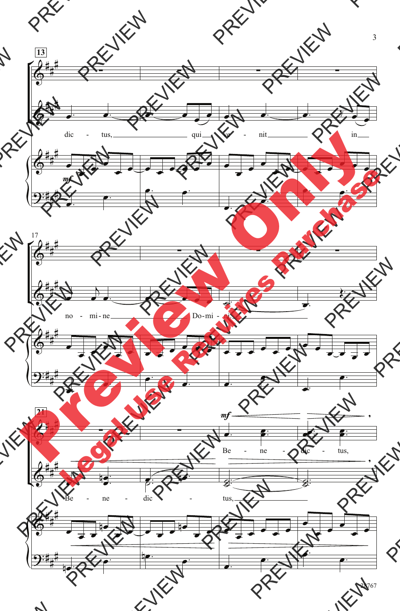

28767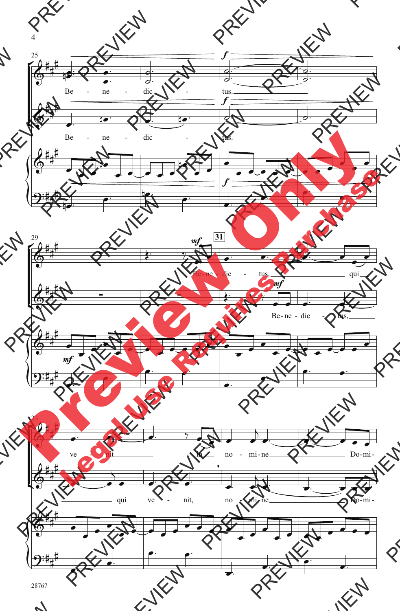

28767

4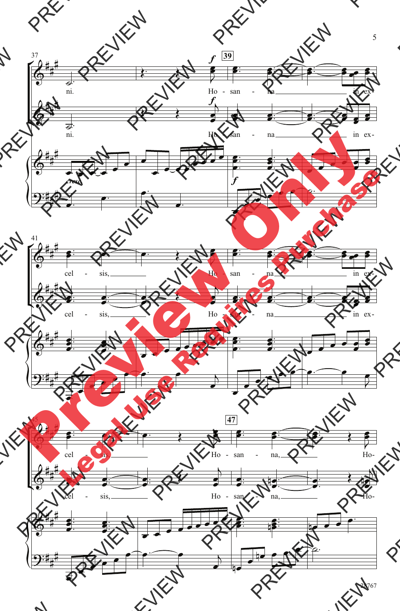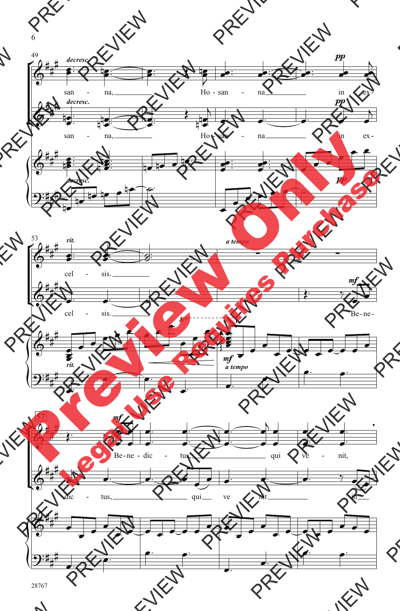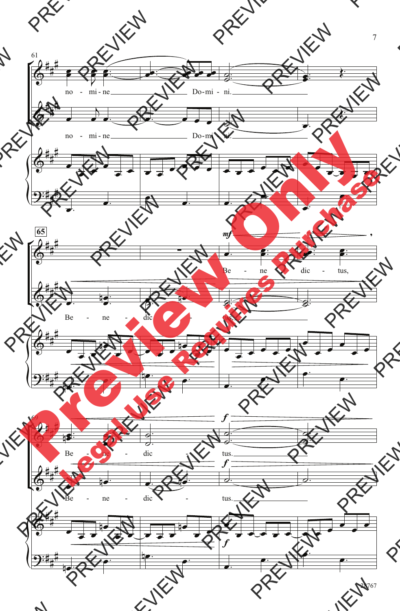